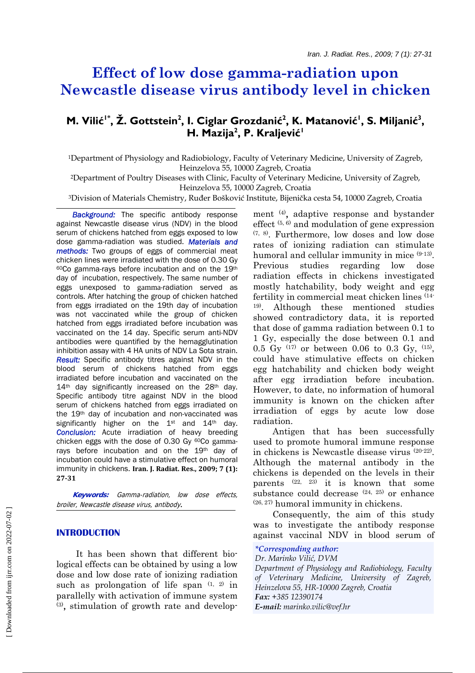# **Effect of low dose gamma-radiation upon Newcastle disease virus antibody level in chicken**

## **M. Vilić<sup>1\*</sup>, Ž. Gottstein<sup>2</sup>, I. Ciglar Grozdanić<sup>2</sup>, K. Matanović<sup>1</sup>, S. Miljanić<sup>3</sup>, H. Mazija2 , P. Kraljević<sup>1</sup>**

1Department of Physiology and Radiobiology, Faculty of Veterinary Medicine, University of Zagreb, Heinzelova 55, 10000 Zagreb, Croatia

2Department of Poultry Diseases with Clinic, Faculty of Veterinary Medicine, University of Zagreb, Heinzelova 55, 10000 Zagreb, Croatia

3Division of Materials Chemistry, Ruđer Bošković Institute, Bijenička cesta 54, 10000 Zagreb, Croatia

 *Background:* The specific antibody response against Newcastle disease virus (NDV) in the blood serum of chickens hatched from eggs exposed to low dose gamma-radiation was studied. *Materials and methods:* Two groups of eggs of commercial meat chicken lines were irradiated with the dose of 0.30 Gy  $60C$  gamma-rays before incubation and on the 19<sup>th</sup> day of incubation, respectively. The same number of eggs unexposed to gamma-radiation served as controls. After hatching the group of chicken hatched from eggs irradiated on the 19th day of incubation was not vaccinated while the group of chicken hatched from eggs irradiated before incubation was vaccinated on the 14 day. Specific serum anti-NDV antibodies were quantified by the hemagglutination inhibition assay with 4 HA units of NDV La Sota strain. *Result:* Specific antibody titres against NDV in the blood serum of chickens hatched from eggs irradiated before incubation and vaccinated on the 14<sup>th</sup> day significantly increased on the 28<sup>th</sup> day. Specific antibody titre against NDV in the blood serum of chickens hatched from eggs irradiated on the 19th day of incubation and non-vaccinated was significantly higher on the 1<sup>st</sup> and 14<sup>th</sup> day. *Conclusion:* Acute irradiation of heavy breeding chicken eggs with the dose of 0.30 Gy  ${}^{60}Co$  gammarays before incubation and on the 19th day of incubation could have a stimulative effect on humoral immunity in chickens. **Iran. J. Radiat. Res., 2009; 7 (1): 2731**

 **Keywords:** Gamma-radiation, low dose effects, broiler, Newcastle disease virus, antibody.

#### **INTRODUCTION**

 It has been shown that different biological effects can be obtained by using a low dose and low dose rate of ionizing radiation such as prolongation of life span  $(1, 2)$  in parallelly with activation of immune system (3), stimulation of growth rate and development (4), adaptive response and bystander effect  $(5, 6)$  and modulation of gene expression (7, 8). Furthermore, low doses and low dose rates of ionizing radiation can stimulate humoral and cellular immunity in mice (9-13). Previous studies regarding low dose radiation effects in chickens investigated mostly hatchability, body weight and egg fertility in commercial meat chicken lines (14- 19). Although these mentioned studies showed contradictory data, it is reported that dose of gamma radiation between 0.1 to 1 Gy, especially the dose between 0.1 and 0.5 Gy  $(17)$  or between 0.06 to 0.3 Gy,  $(15)$ , could have stimulative effects on chicken egg hatchability and chicken body weight after egg irradiation before incubation. However, to date, no information of humoral immunity is known on the chicken after irradiation of eggs by acute low dose radiation.

 Antigen that has been successfully used to promote humoral immune response in chickens is Newcastle disease virus (20-22). Although the maternal antibody in the chickens is depended on the levels in their parents  $(22, 23)$  it is known that some substance could decrease  $(24, 25)$  or enhance (26, 27) humoral immunity in chickens.

 Consequently, the aim of this study was to investigate the antibody response against vaccinal NDV in blood serum of

#### *\*Corresponding author:*

#### *Dr. Marinko Vilić, DVM*

*Department of Physiology and Radiobiology, Faculty of Veterinary Medicine, University of Zagreb, Heinzelova 55, HR-10000 Zagreb, Croatia Fax: +385 12390174 E-mail: marinko.vilic@vef.hr*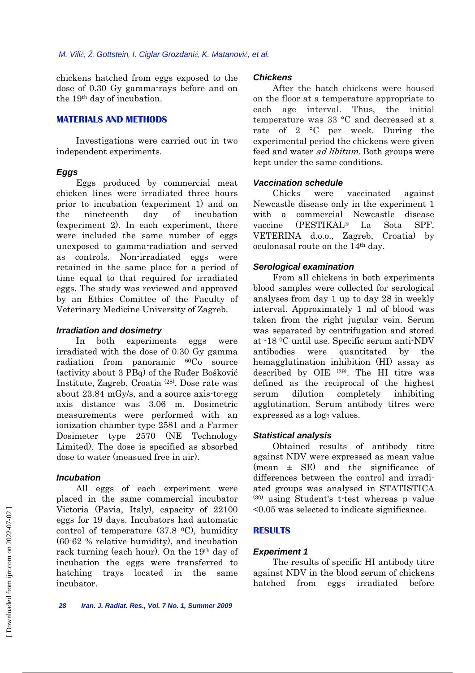chickens hatched from eggs exposed to the dose of 0.30 Gy gamma-rays before and on the 19th day of incubation.

## **MATERIALS AND METHODS**

 Investigations were carried out in two independent experiments.

#### *Eggs*

 Eggs produced by commercial meat chicken lines were irradiated three hours prior to incubation (experiment 1) and on the nineteenth day of incubation (experiment 2). In each experiment, there were included the same number of eggs unexposed to gamma-radiation and served as controls. Non-irradiated eggs were retained in the same place for a period of time equal to that required for irradiated eggs. The study was reviewed and approved by an Ethics Comittee of the Faculty of Veterinary Medicine University of Zagreb.

#### *Irradiation and dosimetry*

 In both experiments eggs were irradiated with the dose of 0.30 Gy gamma radiation from panoramic 60Co source (activity about 3 PBq) of the Ruđer Bošković Institute, Zagreb, Croatia (28). Dose rate was about 23.84 mGy/s, and a source axis-to-egg axis distance was 3.06 m. Dosimetric measurements were performed with an ionization chamber type 2581 and a Farmer Dosimeter type 2570 (NE Technology Limited). The dose is specified as absorbed dose to water (measued free in air).

#### *Incubation*

 All eggs of each experiment were placed in the same commercial incubator Victoria (Pavia, Italy), capacity of 22100 eggs for 19 days. Incubators had automatic control of temperature (37.8 0C), humidity (60-62 % relative humidity), and incubation rack turning (each hour). On the 19th day of incubation the eggs were transferred to hatching trays located in the same incubator.

#### *Chickens*

 After the hatch chickens were housed on the floor at a temperature appropriate to each age interval. Thus, the initial temperature was 33 °C and decreased at a rate of 2 °C per week. During the experimental period the chickens were given feed and water *ad libitum*. Both groups were kept under the same conditions.

#### *Vaccination schedule*

 Chicks were vaccinated against Newcastle disease only in the experiment 1 with a commercial Newcastle disease vaccine (PESTIKAL® La Sota SPF, VETERINA d.o.o., Zagreb, Croatia) by oculonasal route on the 14th day.

#### *Serological examination*

 From all chickens in both experiments blood samples were collected for serological analyses from day 1 up to day 28 in weekly interval. Approximately 1 ml of blood was taken from the right jugular vein. Serum was separated by centrifugation and stored at -18 0C until use. Specific serum anti-NDV antibodies were quantitated by the hemagglutination inhibition (HI) assay as described by OIE (29). The HI titre was defined as the reciprocal of the highest serum dilution completely inhibiting agglutination. Serum antibody titres were expressed as a log<sub>2</sub> values.

#### *Statistical analysis*

 Obtained results of antibody titre against NDV were expressed as mean value  $(mean \pm SE)$  and the significance of differences between the control and irradiated groups was analysed in STATISTICA (30) using Student's t-test whereas p value <0.05 was selected to indicate significance.

#### **RESULTS**

#### *Experiment 1*

 The results of specific HI antibody titre against NDV in the blood serum of chickens hatched from eggs irradiated before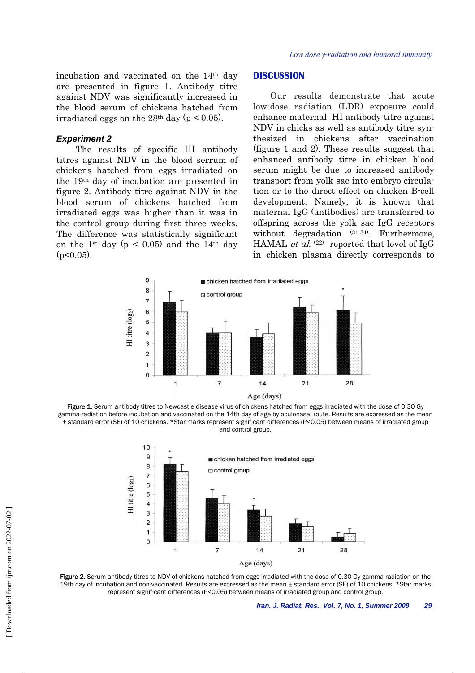incubation and vaccinated on the 14th day are presented in figure 1. Antibody titre against NDV was significantly increased in the blood serum of chickens hatched from irradiated eggs on the 28<sup>th</sup> day ( $p < 0.05$ ).

#### *Experiment 2*

 The results of specific HI antibody titres against NDV in the blood serrum of chickens hatched from eggs irradiated on the 19th day of incubation are presented in figure 2. Antibody titre against NDV in the blood serum of chickens hatched from irradiated eggs was higher than it was in the control group during first three weeks. The difference was statistically significant on the 1<sup>st</sup> day ( $p < 0.05$ ) and the 14<sup>th</sup> day  $(p<0.05)$ .

#### **DISCUSSION**

 Our results demonstrate that acute low-dose radiation (LDR) exposure could enhance maternal HI antibody titre against NDV in chicks as well as antibody titre synthesized in chickens after vaccination (figure 1 and 2). These results suggest that enhanced antibody titre in chicken blood serum might be due to increased antibody transport from yolk sac into embryo circulation or to the direct effect on chicken B-cell development. Namely, it is known that maternal IgG (antibodies) are transferred to offspring across the yolk sac IgG receptors without degradation (31-34). Furthermore, HAMAL *et al.*  $(22)$  reported that level of IgG in chicken plasma directly corresponds to



Figure 1. Serum antibody titres to Newcastle disease virus of chickens hatched from eggs irradiated with the dose of 0.30 Gy gamma-radiation before incubation and vaccinated on the 14th day of age by oculonasal route. Results are expressed as the mean ± standard error (SE) of 10 chickens. \*Star marks represent significant differences (P<0.05) between means of irradiated group and control group.



Figure 2. Serum antibody titres to NDV of chickens hatched from eggs irradiated with the dose of 0.30 Gy gamma-radiation on the 19th day of incubation and non-vaccinated. Results are expressed as the mean ± standard error (SE) of 10 chickens. \*Star marks represent significant differences (P<0.05) between means of irradiated group and control group.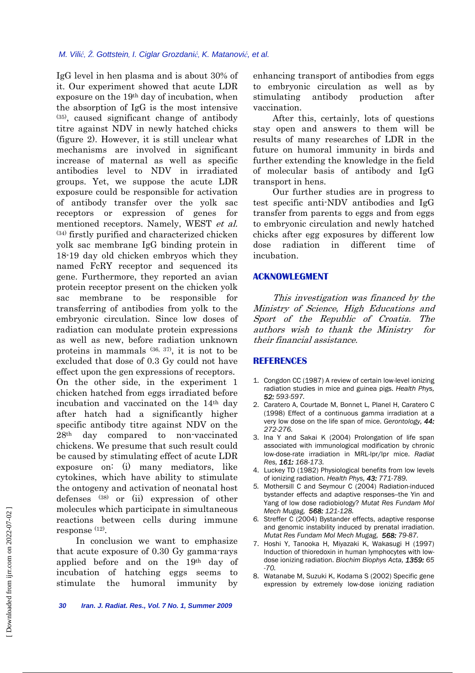#### *M. Vilić, Ž. Gottstein, I. Ciglar Grozdanić, K. Matanović, et al.*

IgG level in hen plasma and is about 30% of it. Our experiment showed that acute LDR exposure on the 19th day of incubation, when the absorption of IgG is the most intensive (35), caused significant change of antibody titre against NDV in newly hatched chicks (figure 2). However, it is still unclear what mechanisms are involved in significant increase of maternal as well as specific antibodies level to NDV in irradiated groups. Yet, we suppose the acute LDR exposure could be responsible for activation of antibody transfer over the yolk sac receptors or expression of genes for mentioned receptors. Namely, WEST et al. (34) firstly purified and characterized chicken yolk sac membrane IgG binding protein in 18-19 day old chicken embryos which they named FcRY receptor and sequenced its gene. Furthermore, they reported an avian protein receptor present on the chicken yolk sac membrane to be responsible for transferring of antibodies from yolk to the embryonic circulation. Since low doses of radiation can modulate protein expressions as well as new, before radiation unknown proteins in mammals (36, 37), it is not to be excluded that dose of 0.3 Gy could not have effect upon the gen expressions of receptors. On the other side, in the experiment 1 chicken hatched from eggs irradiated before incubation and vaccinated on the 14th day after hatch had a significantly higher specific antibody titre against NDV on the 28th day compared to non-vaccinated chickens. We presume that such result could be caused by stimulating effect of acute LDR exposure on: (i) many mediators, like cytokines, which have ability to stimulate the ontogeny and activation of neonatal host defenses (38) or (ii) expression of other molecules which participate in simultaneous reactions between cells during immune response (12).

 In conclusion we want to emphasize that acute exposure of 0.30 Gy gamma-rays applied before and on the 19th day of incubation of hatching eggs seems to stimulate the humoral immunity by

enhancing transport of antibodies from eggs to embryonic circulation as well as by stimulating antibody production after vaccination.

 After this, certainly, lots of questions stay open and answers to them will be results of many researches of LDR in the future on humoral immunity in birds and further extending the knowledge in the field of molecular basis of antibody and IgG transport in hens.

 Our further studies are in progress to test specific anti-NDV antibodies and IgG transfer from parents to eggs and from eggs to embryonic circulation and newly hatched chicks after egg exposures by different low dose radiation in different time of incubation.

#### **ACKNOWLEGMENT**

 This investigation was financed by the Ministry of Science, High Educations and Sport of the Republic of Croatia. The authors wish to thank the Ministry for their financial assistance.

### **REFERENCES**

- 1. Congdon CC (1987) A review of certain low-level ionizing radiation studies in mice and guinea pigs. *Health Phys, 52: 593-597.*
- 2. Caratero A, Courtade M, Bonnet L, Planel H, Caratero C (1998) Effect of a continuous gamma irradiation at a very low dose on the life span of mice. *Gerontology, 44: 272-276.*
- 3. Ina Y and Sakai K (2004) Prolongation of life span associated with immunological modification by chronic low-dose-rate irradiation in MRL-lpr/lpr mice. *Radiat Res, 161: 168-173.*
- 4. Luckey TD (1982) Physiological benefits from low levels of ionizing radiation. *Health Phys, 43: 771-789.*
- *5.* Mothersill C and Seymour C (2004) Radiation-induced bystander effects and adaptive responses--the Yin and Yang of low dose radiobiology? *Mutat Res Fundam Mol Mech Mugag, 568: 121-128.*
- *6.* Streffer C (2004) Bystander effects, adaptive response and genomic instability induced by prenatal irradiation. *Mutat Res Fundam Mol Mech Mugag, 568: 79-87.*
- 7. Hoshi Y, Tanooka H, Miyazaki K, Wakasugi H (1997) Induction of thioredoxin in human lymphocytes with lowdose ionizing radiation. *Biochim Biophys Acta, 1359: 65 -70.*
- 8. Watanabe M, Suzuki K, Kodama S (2002) Specific gene expression by extremely low-dose ionizing radiation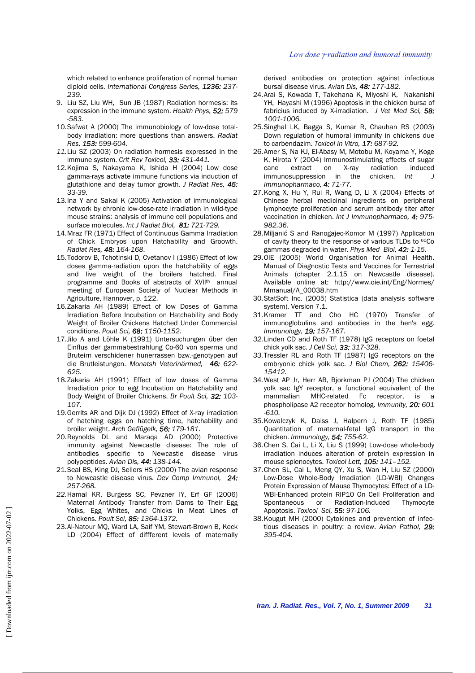#### *Low dose γ-radiation and humoral immunity*

which related to enhance proliferation of normal human diploid cells. *International Congress Series, 1236: 237- 239.*

- 9. Liu SZ, Liu WH, Sun JB (1987) Radiation hormesis: its expression in the immune system. *Health Phys, 52: 579 -583.*
- 10. Safwat A (2000) The immunobiology of low-dose totalbody irradiation: more questions than answers. *Radiat Res, 153: 599-604.*
- *11.* Liu SZ (2003) On radiation hormesis expressed in the immune system. *Crit Rev Toxicol, 33: 431-441.*
- 12. Kojima S, Nakayama K, Ishida H (2004) Low dose gamma-rays activate immune functions via induction of glutathione and delay tumor growth. *J Radiat Res, 45: 33-39.*
- 13. Ina Y and Sakai K (2005) Activation of immunological network by chronic low-dose-rate irradiation in wild-type mouse strains: analysis of immune cell populations and surface molecules. *Int J Radiat Biol, 81: 721-729.*
- 14. Mraz FR (1971) Effect of Continuous Gamma Irradiation of Chick Embryos upon Hatchability and Groowth. *Radiat Res, 48: 164-168*.
- 15. Todorov B, Tchotinski D, Cvetanov I (1986) Effect of low doses gamma-radiation upon the hatchability of eggs and live weight of the broilers hatched. Final programme and Books of abstracts of XVII<sup>th</sup> annual meeting of European Society of Nuclear Methods in Agriculture, Hannover, p. 122.
- 16. Zakaria AH (1989) Effect of low Doses of Gamma Irradiation Before Incubation on Hatchability and Body Weight of Broiler Chickens Hatched Under Commercial conditions. *Poult Sci, 68: 1150-1152.*
- 17. Jilo A and Löhle K (1991) Untersuchungen über den Einflus der gammabestrahlung Co-60 von sperma und Bruteirn verschidener hunerrassen bzw.-genotypen auf die Brutleistungen. *Monatsh Veterinärmed, 46: 622- 625.*
- 18. Zakaria AH (1991) Effect of low doses of Gamma Irradiation prior to egg Incubation on Hatchability and Body Weight of Broiler Chickens. *Br Poult Sci, 32: 103- 107.*
- 19. Gerrits AR and Dijk DJ (1992) Effect of X-ray irradiation of hatching eggs on hatching time, hatchability and broiler weight. *Arch Geflügelk, 56: 179-181.*
- 20. Reynolds DL and Maraqa AD (2000) Protective immunity against Newcastle disease: The role of antibodies specific to Newcastle disease virus polypeptides. *Avian Dis, 44: 138-144.*
- 21. Seal BS, King DJ, Sellers HS (2000) The avian response to Newcastle disease virus. *Dev Comp Immunol, 24: 257-268.*
- *22.* Hamal KR, Burgess SC, Pevzner IY, Erf GF (2006) Maternal Antibody Transfer from Dams to Their Egg Yolks, Egg Whites, and Chicks in Meat Lines of Chickens. *Poult Sci, 85: 1364-1372.*
- 23. Al-Natour MQ, Ward LA, Saif YM, Stewart-Brown B, Keck LD (2004) Effect of diffferent levels of maternally

derived antibodies on protection against infectious bursal disease virus. *Avian Dis, 48: 177-182.*

- 24. Arai S, Kowada T, Takehana K, Miyoshi K, Nakanishi YH, Hayashi M (1996) Apoptosis in the chicken bursa of fabricius induced by X-irradiation. *J Vet Med Sci, 58: 1001-1006.*
- 25. Singhal LK, Bagga S, Kumar R, Chauhan RS (2003) Down regulation of humoral immunity in chickens due to carbendazim. *Toxicol In Vitro, 17: 687-92.*
- 26. Amer S, Na KJ, El-Abasy M, Motobu M, Koyama Y, Koge K, Hirota Y (2004) Immunostimulating effects of sugar cane extract on X-ray radiation induced immunosuppression in the chicken. *Int J Immunopharmaco, 4: 71-77.*
- 27. Kong X, Hu Y, Rui R, Wang D, Li X (2004) Effects of Chinese herbal medicinal ingredients on peripheral lymphocyte proliferation and serum antibody titer after vaccination in chicken. *Int J Immunopharmaco, 4: 975- 982.36.*
- 28. Miljanić S and Ranogajec-Komor M (1997) Application of cavity theory to the response of various TLDs to <sup>60</sup>Co gammas degraded in water. *Phys Med Biol, 42: 1-15.*
- 29. OIE (2005) World Organisation for Animal Health. Manual of Diagnostic Tests and Vaccines for Terrestrial Animals (chapter 2.1.15 on Newcastle disease). Available online at: http://www.oie.int/Eng/Normes/ Mmanual/A\_00038.htm
- 30. StatSoft Inc. (2005) Statistica (data analysis software system). Version 7.1.
- 31. Kramer TT and Cho HC (1970) Transfer of immunoglobulins and antibodies in the hen's egg. *Immunology, 19: 157-167.*
- *32.* Linden CD and Roth TF (1978) IgG receptors on foetal chick yolk sac. *J Cell Sci, 33: 317-328.*
- *33.* Tressler RL and Roth TF (1987) IgG receptors on the embryonic chick yolk sac. *J Biol Chem, 262: 15406- 15412.*
- 34. West AP Jr, Herr AB, Bjorkman PJ (2004) The chicken yolk sac IgY receptor, a functional equivalent of the mammalian MHC-related Fc receptor, is a phospholipase A2 receptor homolog. *Immunity, 20: 601 -610.*
- 35. Kowalczyk K, Daiss J, Halpern J, Roth TF (1985) Quantitation of maternal-fetal IgG transport in the chicken. *Immunology, 54: 755-62.*
- 36. Chen S, Cai L, Li X, Liu S (1999) Low-dose whole-body irradiation induces alteration of protein expression in mouse splenocytes. *Toxicol Lett, 105: 141–152.*
- 37. Chen SL, Cai L, Meng QY, Xu S, Wan H, Liu SZ (2000) Low-Dose Whole-Body Irradiation (LD-WBI) Changes Protein Expression of Mause Thymocytes: Effect of a LD-WBI-Enhanced protein RIP10 On Cell Proliferation and Spontaneous or Radiation-Induced Thymocyte Apoptosis. *Toxicol Sci, 55: 97-106.*
- 38. Kougut MH (2000) Cytokines and prevention of infectious diseases in poultry: a review. *Avian Pathol, 29: 395-404.*